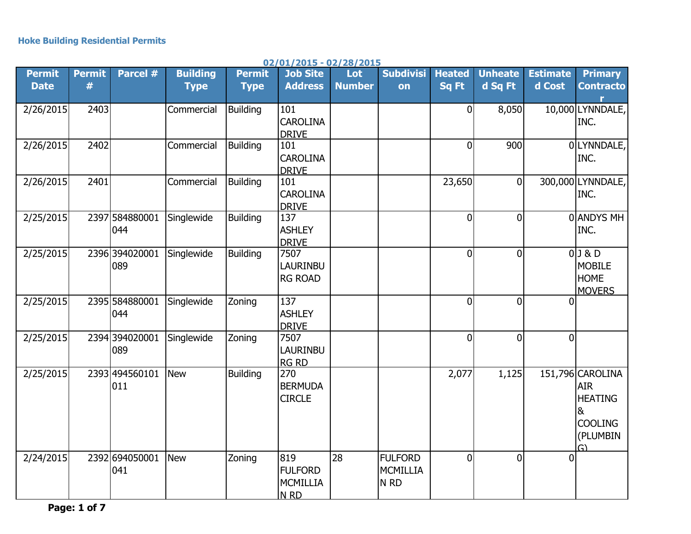| <b>Permit</b><br><b>Date</b> | <b>Permit</b><br># | Parcel #                | <b>Building</b><br><b>Type</b> | <b>Permit</b><br><b>Type</b> | <b>Job Site</b><br><b>Address</b>                           | Lot<br><b>Number</b> | <b>Subdivisi</b><br>on                        | <b>Heated</b><br>Sq Ft | <b>Unheate</b><br>d Sq Ft | <b>Estimate</b><br>d Cost | <b>Primary</b><br><b>Contracto</b>                                                        |
|------------------------------|--------------------|-------------------------|--------------------------------|------------------------------|-------------------------------------------------------------|----------------------|-----------------------------------------------|------------------------|---------------------------|---------------------------|-------------------------------------------------------------------------------------------|
| 2/26/2015                    | 2403               |                         | Commercial                     | <b>Building</b>              | 101<br><b>CAROLINA</b>                                      |                      |                                               | $\overline{0}$         | 8,050                     |                           | 10,000 LYNNDALE,<br>INC.                                                                  |
| 2/26/2015                    | 2402               |                         | Commercial                     | <b>Building</b>              | <b>DRIVE</b><br>101<br><b>CAROLINA</b><br><b>DRIVE</b>      |                      |                                               | $\overline{0}$         | 900                       |                           | 0 LYNNDALE,<br>INC.                                                                       |
| 2/26/2015                    | 2401               |                         | Commercial                     | <b>Building</b>              | 101<br><b>CAROLINA</b><br><b>DRIVE</b>                      |                      |                                               | 23,650                 | 0l                        |                           | 300,000 LYNNDALE,<br>INC.                                                                 |
| 2/25/2015                    |                    | 2397 584880001<br>044   | Singlewide                     | <b>Building</b>              | 137<br><b>ASHLEY</b><br><b>DRIVE</b>                        |                      |                                               | $\Omega$               | $\overline{0}$            |                           | 0 ANDYS MH<br>INC.                                                                        |
| 2/25/2015                    |                    | 2396 394020001<br>089   | Singlewide                     | <b>Building</b>              | 7507<br><b>LAURINBU</b><br><b>RG ROAD</b>                   |                      |                                               | 0                      | $\overline{0}$            |                           | 0J & D<br><b>MOBILE</b><br><b>HOME</b><br><b>MOVERS</b>                                   |
| 2/25/2015                    |                    | 2395 584880001<br>044   | Singlewide                     | Zoning                       | 137<br><b>ASHLEY</b><br><b>DRIVE</b>                        |                      |                                               | $\overline{0}$         | $\overline{0}$            | $\Omega$                  |                                                                                           |
| 2/25/2015                    |                    | 2394 3940 2000 1<br>089 | Singlewide                     | Zoning                       | 7507<br>LAURINBU<br><b>RG RD</b>                            |                      |                                               | $\overline{0}$         | $\overline{0}$            | $\mathbf{0}$              |                                                                                           |
| 2/25/2015                    |                    | 2393 494560101<br>011   | <b>New</b>                     | <b>Building</b>              | 270<br><b>BERMUDA</b><br><b>CIRCLE</b>                      |                      |                                               | 2,077                  | 1,125                     |                           | 151,796 CAROLINA<br><b>AIR</b><br><b>HEATING</b><br>&<br><b>COOLING</b><br>(PLUMBIN<br>G) |
| 2/24/2015                    |                    | 2392 694050001<br>041   | <b>New</b>                     | Zoning                       | 819<br><b>FULFORD</b><br><b>MCMILLIA</b><br>N <sub>RD</sub> | 28                   | <b>FULFORD</b><br>MCMILLIA<br>N <sub>RD</sub> | $\overline{0}$         | $\overline{0}$            | $\Omega$                  |                                                                                           |

**02/01/2015 - 02/28/2015**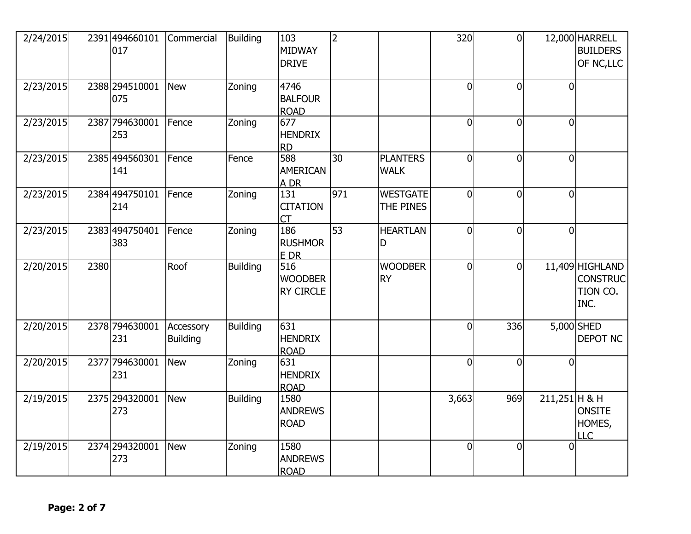| 2/24/2015 |      | 2391 494660101<br>017  | Commercial                   | <b>Building</b> | 103<br>MIDWAY<br><b>DRIVE</b>             | 2               |                                | 320            | $\overline{0}$ |                 | 12,000 HARRELL<br><b>BUILDERS</b><br>OF NC, LLC        |
|-----------|------|------------------------|------------------------------|-----------------|-------------------------------------------|-----------------|--------------------------------|----------------|----------------|-----------------|--------------------------------------------------------|
| 2/23/2015 |      | 2388 294510001<br>075  | <b>New</b>                   | Zoning          | 4746<br><b>BALFOUR</b><br><b>ROAD</b>     |                 |                                | $\Omega$       | $\Omega$       | $\Omega$        |                                                        |
| 2/23/2015 |      | 2387 794630001<br>253  | Fence                        | Zoning          | 677<br><b>HENDRIX</b><br><b>RD</b>        |                 |                                | $\overline{0}$ | $\mathbf 0$    | $\overline{0}$  |                                                        |
| 2/23/2015 |      | 2385 4945 60301<br>141 | Fence                        | Fence           | 588<br><b>AMERICAN</b><br>A DR            | 30              | <b>PLANTERS</b><br><b>WALK</b> | $\overline{0}$ | $\overline{0}$ | $\overline{0}$  |                                                        |
| 2/23/2015 |      | 2384 494750101<br>214  | Fence                        | Zoning          | 131<br><b>CITATION</b><br>CT              | 971             | <b>WESTGATE</b><br>THE PINES   | $\overline{0}$ | $\Omega$       | $\overline{0}$  |                                                        |
| 2/23/2015 |      | 2383 494750401<br>383  | Fence                        | Zoning          | 186<br><b>RUSHMOR</b><br>E DR             | $\overline{53}$ | <b>HEARTLAN</b><br>D           | $\Omega$       | $\overline{0}$ | $\overline{0}$  |                                                        |
| 2/20/2015 | 2380 |                        | Roof                         | <b>Building</b> | 516<br><b>WOODBER</b><br><b>RY CIRCLE</b> |                 | <b>WOODBER</b><br><b>RY</b>    | $\overline{0}$ | $\overline{0}$ |                 | 11,409 HIGHLAND<br><b>CONSTRUC</b><br>TION CO.<br>INC. |
| 2/20/2015 |      | 2378 794630001<br>231  | Accessory<br><b>Building</b> | <b>Building</b> | 631<br><b>HENDRIX</b><br><b>ROAD</b>      |                 |                                | $\overline{0}$ | 336            |                 | 5,000 SHED<br>DEPOT NC                                 |
| 2/20/2015 |      | 2377 794630001<br>231  | <b>New</b>                   | Zoning          | 631<br><b>HENDRIX</b><br><b>ROAD</b>      |                 |                                | $\overline{0}$ | $\overline{0}$ | $\overline{0}$  |                                                        |
| 2/19/2015 |      | 2375 294320001<br>273  | <b>New</b>                   | <b>Building</b> | 1580<br><b>ANDREWS</b><br><b>ROAD</b>     |                 |                                | 3,663          | 969            | $211,251$ H & H | <b>ONSITE</b><br>HOMES,<br>LLC                         |
| 2/19/2015 |      | 2374 294320001<br>273  | <b>New</b>                   | Zoning          | 1580<br><b>ANDREWS</b><br><b>ROAD</b>     |                 |                                | $\overline{0}$ | $\overline{0}$ | $\Omega$        |                                                        |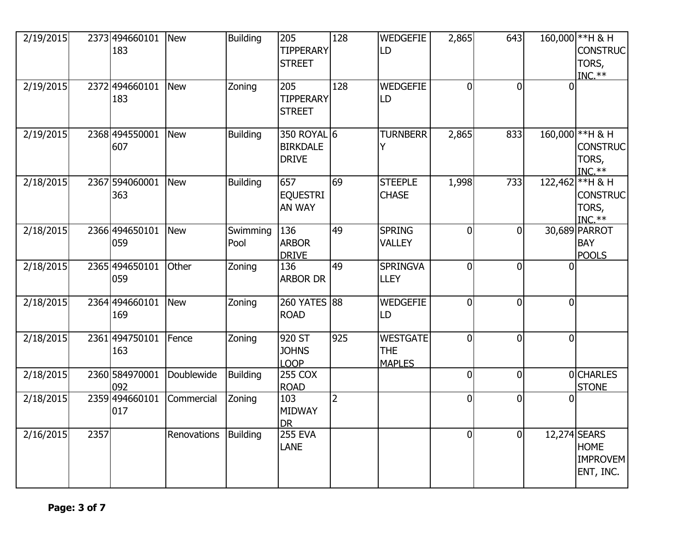| 2/19/2015 |      | 2373 494660101<br>183 | <b>New</b>  | <b>Building</b>  | 205<br><b>TIPPERARY</b><br><b>STREET</b>       | 128            | <b>WEDGEFIE</b><br>LD                          | 2,865          | 643            |                | 160,000 ** H & H<br><b>CONSTRUC</b><br>TORS,<br>$INC.**$    |
|-----------|------|-----------------------|-------------|------------------|------------------------------------------------|----------------|------------------------------------------------|----------------|----------------|----------------|-------------------------------------------------------------|
| 2/19/2015 |      | 2372494660101<br>183  | <b>New</b>  | Zoning           | 205<br><b>TIPPERARY</b><br><b>STREET</b>       | 128            | <b>WEDGEFIE</b><br>LD                          | $\Omega$       | $\overline{0}$ |                |                                                             |
| 2/19/2015 |      | 2368 494550001<br>607 | <b>New</b>  | <b>Building</b>  | 350 ROYAL 6<br><b>BIRKDALE</b><br><b>DRIVE</b> |                | <b>TURNBERR</b>                                | 2,865          | 833            |                | 160,000 ** H & H<br><b>CONSTRUC</b><br>TORS,<br>$INC.**$    |
| 2/18/2015 |      | 2367 594060001<br>363 | <b>New</b>  | <b>Building</b>  | 657<br><b>EQUESTRI</b><br>AN WAY               | 69             | <b>STEEPLE</b><br><b>CHASE</b>                 | 1,998          | 733            |                | 122,462 ** H & H<br><b>CONSTRUC</b><br>TORS,<br>$INC.**$    |
| 2/18/2015 |      | 2366 494650101<br>059 | <b>New</b>  | Swimming<br>Pool | 136<br><b>ARBOR</b><br><b>DRIVE</b>            | 49             | <b>SPRING</b><br><b>VALLEY</b>                 | $\overline{0}$ | $\overline{0}$ |                | 30,689 PARROT<br><b>BAY</b><br><b>POOLS</b>                 |
| 2/18/2015 |      | 2365 494650101<br>059 | Other       | Zoning           | 136<br><b>ARBOR DR</b>                         | 49             | <b>SPRINGVA</b><br><b>LLEY</b>                 | $\overline{0}$ | $\overline{0}$ | <sup>0</sup>   |                                                             |
| 2/18/2015 |      | 2364 494660101<br>169 | <b>New</b>  | Zoning           | 260 YATES 88<br><b>ROAD</b>                    |                | <b>WEDGEFIE</b><br>LD                          | $\Omega$       | $\mathbf{0}$   | $\Omega$       |                                                             |
| 2/18/2015 |      | 2361 494750101<br>163 | Fence       | Zoning           | 920 ST<br><b>JOHNS</b><br><b>LOOP</b>          | 925            | <b>WESTGATE</b><br><b>THE</b><br><b>MAPLES</b> | $\overline{0}$ | $\mathbf{0}$   | $\overline{0}$ |                                                             |
| 2/18/2015 |      | 2360 584970001<br>092 | Doublewide  | <b>Building</b>  | <b>255 COX</b><br><b>ROAD</b>                  |                |                                                | $\overline{0}$ | $\overline{0}$ |                | 0CHARLES<br><b>STONE</b>                                    |
| 2/18/2015 |      | 2359 494660101<br>017 | Commercial  | Zoning           | 103<br><b>MIDWAY</b><br><b>DR</b>              | $\overline{2}$ |                                                | $\overline{0}$ | $\overline{0}$ | n              |                                                             |
| 2/16/2015 | 2357 |                       | Renovations | <b>Building</b>  | <b>255 EVA</b><br><b>LANE</b>                  |                |                                                | $\Omega$       | $\overline{0}$ |                | 12,274 SEARS<br><b>HOME</b><br><b>IMPROVEM</b><br>ENT, INC. |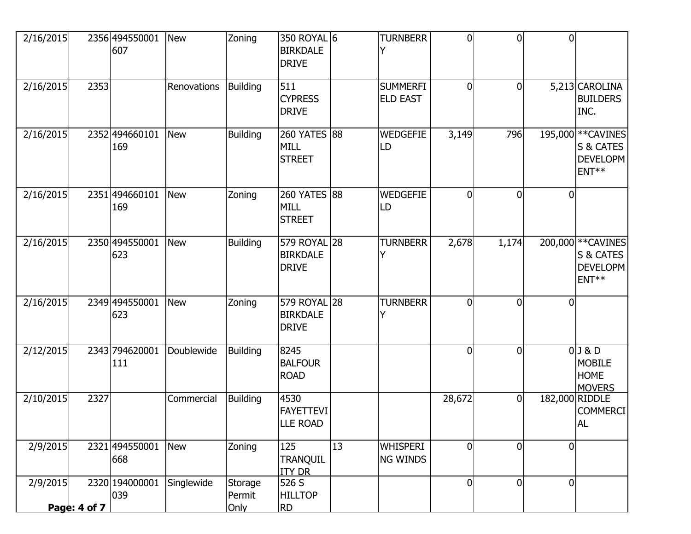| 2/16/2015 |              | 2356 494550001<br>607 | <b>New</b>  | Zoning                    | 350 ROYAL 6<br><b>BIRKDALE</b><br><b>DRIVE</b>  |    | <b>TURNBERR</b>                    | $\overline{0}$ | $\Omega$ | $\Omega$       |                                                                         |
|-----------|--------------|-----------------------|-------------|---------------------------|-------------------------------------------------|----|------------------------------------|----------------|----------|----------------|-------------------------------------------------------------------------|
| 2/16/2015 | 2353         |                       | Renovations | <b>Building</b>           | 511<br><b>CYPRESS</b><br><b>DRIVE</b>           |    | <b>SUMMERFI</b><br><b>ELD EAST</b> | $\overline{0}$ | 0        |                | 5,213 CAROLINA<br><b>BUILDERS</b><br>INC.                               |
| 2/16/2015 |              | 2352 494660101<br>169 | <b>New</b>  | <b>Building</b>           | 260 YATES 88<br><b>MILL</b><br><b>STREET</b>    |    | <b>WEDGEFIE</b><br>LD              | 3,149          | 796      |                | 195,000 ** CAVINES<br>S & CATES<br><b>DEVELOPM</b><br>ENT <sup>**</sup> |
| 2/16/2015 |              | 2351 494660101<br>169 | <b>New</b>  | Zoning                    | 260 YATES 88<br><b>MILL</b><br><b>STREET</b>    |    | <b>WEDGEFIE</b><br>LD              | $\Omega$       | 0        |                |                                                                         |
| 2/16/2015 |              | 2350 494550001<br>623 | <b>New</b>  | <b>Building</b>           | 579 ROYAL 28<br><b>BIRKDALE</b><br><b>DRIVE</b> |    | <b>TURNBERR</b>                    | 2,678          | 1,174    |                | 200,000 ** CAVINES<br>S & CATES<br><b>DEVELOPM</b><br>ENT <sup>**</sup> |
| 2/16/2015 |              | 2349 494550001<br>623 | <b>New</b>  | Zoning                    | 579 ROYAL 28<br><b>BIRKDALE</b><br><b>DRIVE</b> |    | <b>TURNBERR</b>                    | $\overline{0}$ | 0        | $\Omega$       |                                                                         |
| 2/12/2015 |              | 2343 794620001<br>111 | Doublewide  | <b>Building</b>           | 8245<br><b>BALFOUR</b><br><b>ROAD</b>           |    |                                    | $\Omega$       | $\Omega$ |                | $0$ J & D<br><b>MOBILE</b><br><b>HOME</b><br><b>MOVERS</b>              |
| 2/10/2015 | 2327         |                       | Commercial  | <b>Building</b>           | 4530<br><b>FAYETTEVI</b><br><b>LLE ROAD</b>     |    |                                    | 28,672         | 0        | 182,000 RIDDLE | <b>COMMERCI</b><br><b>AL</b>                                            |
| 2/9/2015  |              | 2321 494550001<br>668 | <b>New</b>  | Zoning                    | 125<br><b>TRANQUIL</b><br><b>ITY DR</b>         | 13 | <b>WHISPERI</b><br><b>NG WINDS</b> | 0l             | 0        | $\mathbf 0$    |                                                                         |
| 2/9/2015  | Page: 4 of 7 | 2320 194000001<br>039 | Singlewide  | Storage<br>Permit<br>Only | 526 S<br><b>HILLTOP</b><br><b>RD</b>            |    |                                    | $\overline{0}$ | 0        | $\overline{0}$ |                                                                         |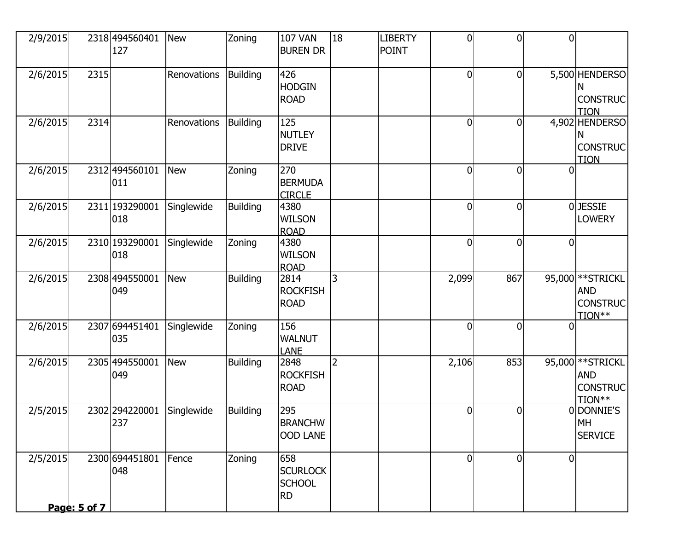| 2/9/2015 |              | 2318 494560401<br>127 | <b>New</b>  | Zoning          | <b>107 VAN</b><br><b>BUREN DR</b>                    | 18 | <b>LIBERTY</b><br><b>POINT</b> | $\overline{0}$ | $\overline{0}$ | $\overline{0}$ |                                                              |
|----------|--------------|-----------------------|-------------|-----------------|------------------------------------------------------|----|--------------------------------|----------------|----------------|----------------|--------------------------------------------------------------|
| 2/6/2015 | 2315         |                       | Renovations | <b>Building</b> | 426<br><b>HODGIN</b><br><b>ROAD</b>                  |    |                                | $\overline{0}$ | $\overline{0}$ |                | 5,500 HENDERSO<br>N<br><b>CONSTRUC</b><br><b>TION</b>        |
| 2/6/2015 | 2314         |                       | Renovations | <b>Building</b> | 125<br><b>NUTLEY</b><br><b>DRIVE</b>                 |    |                                | $\overline{0}$ | $\overline{0}$ |                | 4,902 HENDERSO<br>N<br><b>CONSTRUC</b><br><b>TION</b>        |
| 2/6/2015 |              | 2312 494560101<br>011 | <b>New</b>  | Zoning          | 270<br><b>BERMUDA</b><br><b>CIRCLE</b>               |    |                                | $\Omega$       | $\overline{0}$ | 0              |                                                              |
| 2/6/2015 |              | 2311 193290001<br>018 | Singlewide  | <b>Building</b> | 4380<br><b>WILSON</b><br><b>ROAD</b>                 |    |                                | $\overline{0}$ | $\overline{0}$ |                | <b>OJESSIE</b><br><b>LOWERY</b>                              |
| 2/6/2015 |              | 2310 193290001<br>018 | Singlewide  | Zoning          | 4380<br><b>WILSON</b><br><b>ROAD</b>                 |    |                                | $\overline{0}$ | $\overline{0}$ | $\Omega$       |                                                              |
| 2/6/2015 |              | 2308 494550001<br>049 | <b>New</b>  | <b>Building</b> | 2814<br><b>ROCKFISH</b><br><b>ROAD</b>               | 3  |                                | 2,099          | 867            |                | 95,000 ** STRICKL<br><b>AND</b><br><b>CONSTRUC</b><br>TION** |
| 2/6/2015 |              | 2307 694451401<br>035 | Singlewide  | Zoning          | 156<br><b>WALNUT</b><br><b>LANE</b>                  |    |                                | $\Omega$       | $\overline{0}$ | $\Omega$       |                                                              |
| 2/6/2015 |              | 2305 494550001<br>049 | <b>New</b>  | <b>Building</b> | 2848<br><b>ROCKFISH</b><br><b>ROAD</b>               | 2  |                                | 2,106          | 853            |                | 95,000 ** STRICKL<br><b>AND</b><br><b>CONSTRUC</b><br>TION** |
| 2/5/2015 |              | 2302 294220001<br>237 | Singlewide  | <b>Building</b> | 295<br><b>BRANCHW</b><br><b>OOD LANE</b>             |    |                                | $\overline{0}$ | $\overline{0}$ |                | 0 DONNIE'S<br><b>MH</b><br><b>SERVICE</b>                    |
| 2/5/2015 |              | 2300 694451801<br>048 | Fence       | Zoning          | 658<br><b>SCURLOCK</b><br><b>SCHOOL</b><br><b>RD</b> |    |                                | $\Omega$       | $\overline{0}$ | $\overline{0}$ |                                                              |
|          | Page: 5 of 7 |                       |             |                 |                                                      |    |                                |                |                |                |                                                              |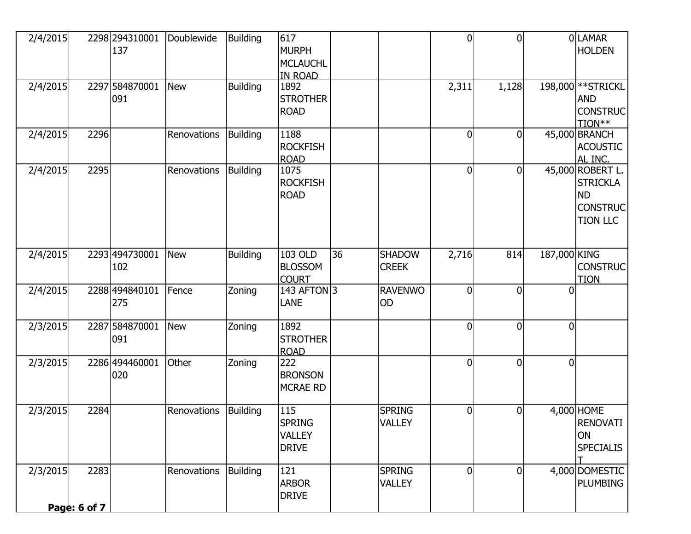| 2/4/2015 |                             | 2298 294310001<br>137 | Doublewide  | <b>Building</b> | 617<br><b>MURPH</b><br><b>MCLAUCHL</b><br><b>IN ROAD</b> |    |                                | $\overline{0}$ | $\Omega$     |                | 0LAMAR<br><b>HOLDEN</b>                                                                |
|----------|-----------------------------|-----------------------|-------------|-----------------|----------------------------------------------------------|----|--------------------------------|----------------|--------------|----------------|----------------------------------------------------------------------------------------|
| 2/4/2015 |                             | 2297 584870001<br>091 | <b>New</b>  | <b>Building</b> | 1892<br><b>STROTHER</b><br><b>ROAD</b>                   |    |                                | 2,311          | 1,128        |                | 198,000 ** STRICKL<br><b>AND</b><br><b>CONSTRUC</b><br>TION**                          |
| 2/4/2015 | 2296                        |                       | Renovations | <b>Building</b> | 1188<br><b>ROCKFISH</b><br><b>ROAD</b>                   |    |                                | $\overline{0}$ | 0            |                | 45,000 BRANCH<br><b>ACOUSTIC</b><br>AL INC.                                            |
| 2/4/2015 | 2295                        |                       | Renovations | <b>Building</b> | 1075<br><b>ROCKFISH</b><br><b>ROAD</b>                   |    |                                | $\overline{0}$ | $\mathbf{0}$ |                | 45,000 ROBERT L.<br><b>STRICKLA</b><br><b>ND</b><br><b>CONSTRUC</b><br><b>TION LLC</b> |
| 2/4/2015 |                             | 2293 494730001<br>102 | <b>New</b>  | <b>Building</b> | 103 OLD<br><b>BLOSSOM</b><br><b>COURT</b>                | 36 | <b>SHADOW</b><br><b>CREEK</b>  | 2,716          | 814          | 187,000 KING   | <b>CONSTRUC</b><br><b>TION</b>                                                         |
| 2/4/2015 |                             | 2288 494840101<br>275 | Fence       | Zoning          | 143 AFTON 3<br><b>LANE</b>                               |    | <b>RAVENWO</b><br>OD           | $\overline{0}$ | 0            | $\overline{0}$ |                                                                                        |
| 2/3/2015 |                             | 2287 584870001<br>091 | <b>New</b>  | Zoning          | 1892<br><b>STROTHER</b><br><b>ROAD</b>                   |    |                                | $\Omega$       | 0            | $\Omega$       |                                                                                        |
| 2/3/2015 |                             | 2286 494460001<br>020 | Other       | Zoning          | 222<br><b>BRONSON</b><br><b>MCRAE RD</b>                 |    |                                | 0              | 0            | $\Omega$       |                                                                                        |
| 2/3/2015 | 2284                        |                       | Renovations | Building        | 115<br><b>SPRING</b><br><b>VALLEY</b><br><b>DRIVE</b>    |    | <b>SPRING</b><br><b>VALLEY</b> | $\overline{0}$ | 0            |                | 4,000 HOME<br><b>RENOVATI</b><br><b>ON</b><br><b>SPECIALIS</b>                         |
| 2/3/2015 | 2283<br><u>Page: 6 of 7</u> |                       | Renovations | <b>Building</b> | 121<br><b>ARBOR</b><br><b>DRIVE</b>                      |    | <b>SPRING</b><br><b>VALLEY</b> | $\Omega$       | $\Omega$     |                | 4,000 DOMESTIC<br><b>PLUMBING</b>                                                      |
|          |                             |                       |             |                 |                                                          |    |                                |                |              |                |                                                                                        |